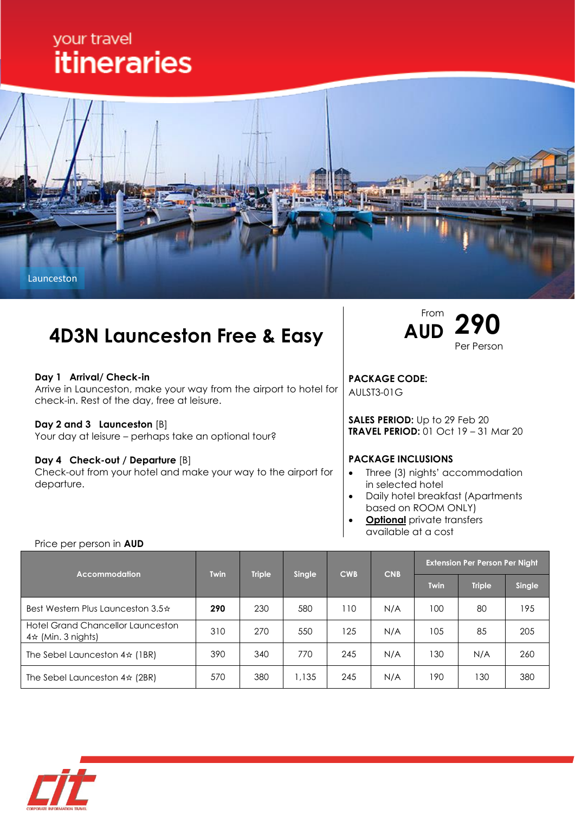# your travel **itineraries**



# **4D3N Launceston Free & Easy**

### **Day 1 Arrival/ Check-in**

Arrive in Launceston, make your way from the airport to hotel for check-in. Rest of the day, free at leisure.

#### **Day 2 and 3 Launceston** [B]

Price per person in **AUD**

Your day at leisure – perhaps take an optional tour?

#### **Day 4 Check-out / Departure** [B]

Check-out from your hotel and make your way to the airport for departure.



**PACKAGE CODE:** AULST3-01G

**SALES PERIOD:** Up to 29 Feb 20 **TRAVEL PERIOD:** 01 Oct 19 – 31 Mar 20

### **PACKAGE INCLUSIONS**

- Three (3) nights' accommodation in selected hotel
- Daily hotel breakfast (Apartments based on ROOM ONLY)
- **Optional** private transfers available at a cost

| <b>Accommodation</b>                                                 | <b>Twin</b> | <b>Triple</b> | Single | <b>CWB</b> | <b>CNB</b> | <b>Extension Per Person Per Night</b> |               |        |
|----------------------------------------------------------------------|-------------|---------------|--------|------------|------------|---------------------------------------|---------------|--------|
|                                                                      |             |               |        |            |            | <b>Twin</b>                           | <b>Triple</b> | Single |
| Best Western Plus Launceston 3.5 $\pm$                               | 290         | 230           | 580    | 110        | N/A        | 100                                   | 80            | 195    |
| <b>Hotel Grand Chancellor Launceston</b><br>$4\star$ (Min. 3 nights) | 310         | 270           | 550    | 125        | N/A        | 105                                   | 85            | 205    |
| The Sebel Launceston $4\frac{1}{2}$ (1BR)                            | 390         | 340           | 770    | 245        | N/A        | 130                                   | N/A           | 260    |
| The Sebel Launceston $4\pi$ (2BR)                                    | 570         | 380           | 1,135  | 245        | N/A        | 190                                   | 130           | 380    |

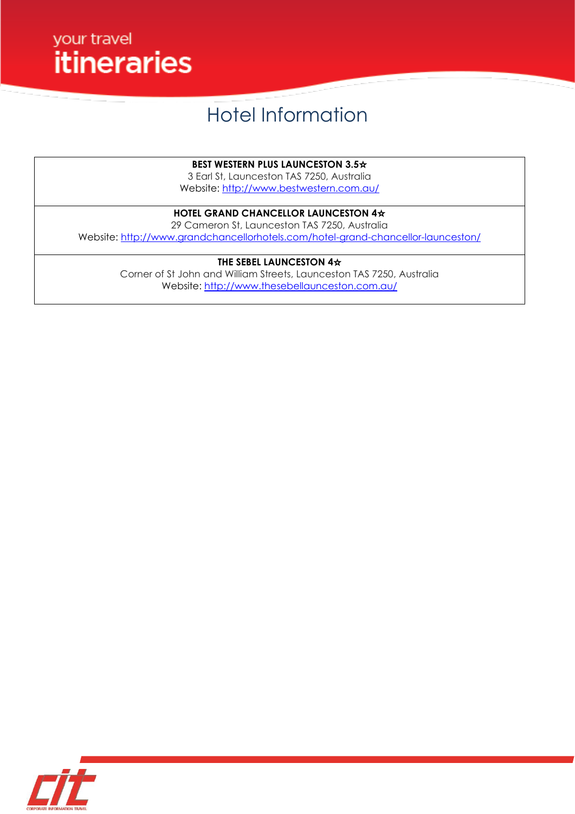

# Hotel Information

**BEST WESTERN PLUS LAUNCESTON 3.5**☆

3 Earl St, Launceston TAS 7250, Australia Website:<http://www.bestwestern.com.au/>

## **HOTEL GRAND CHANCELLOR LAUNCESTON 4**☆

29 Cameron St, Launceston TAS 7250, Australia Website:<http://www.grandchancellorhotels.com/hotel-grand-chancellor-launceston/>

### **THE SEBEL LAUNCESTON 4**☆

Corner of St John and William Streets, Launceston TAS 7250, Australia Website:<http://www.thesebellaunceston.com.au/>